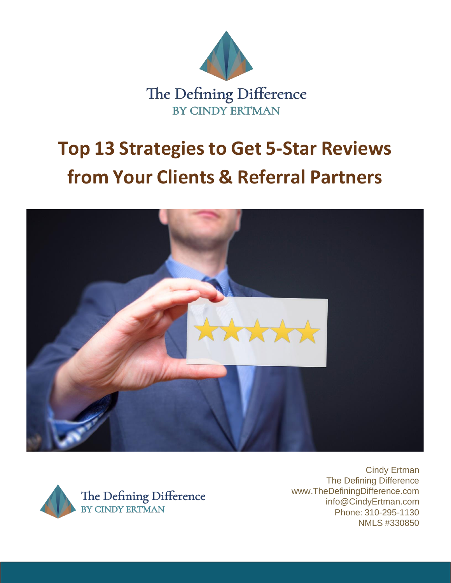





Cindy Ertman The Defining Difference [www.TheDefiningDifference.com](http://www.thedefiningdifference.com/) [info@CindyErtman.com](mailto:info@CindyErtman.com) Phone: 310-295-1130 NMLS #330850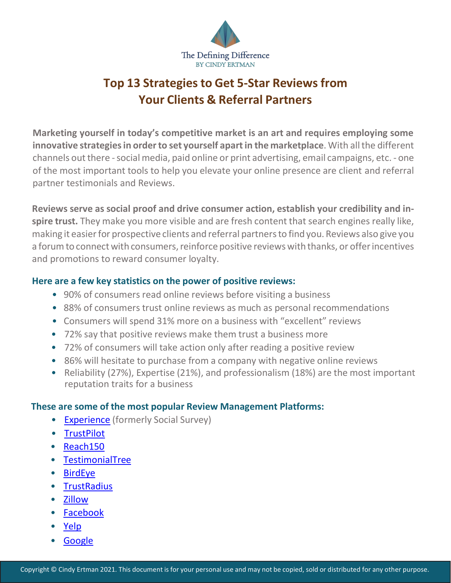

**Marketing yourself in today's competitive market is an art and requires employing some innovative strategiesin orderto set yourself apartin the marketplace**. With allthe different channels out there - social media, paid online or print advertising, email campaigns, etc. - one of the most important tools to help you elevate your online presence are client and referral partner testimonials and Reviews.

**Reviews serve as social proof and drive consumer action, establish your credibility and inspire trust.** They make you more visible and are fresh content that search engines really like, making it easier for prospective clients and referral partners to find you. Reviews also give you a forum to connect with consumers, reinforce positive reviews with thanks, or offer incentives and promotions to reward consumer loyalty.

#### **Here are a few key statistics on the power of positive reviews:**

- 90% of consumers read online reviews before visiting a business
- 88% of consumers trust online reviews as much as personal recommendations
- Consumers will spend 31% more on a business with "excellent" reviews
- 72% say that positive reviews make them trust a business more
- 72% of consumers will take action only after reading a positive review
- 86% will hesitate to purchase from a company with negative online reviews
- Reliability (27%), Expertise (21%), and professionalism (18%) are the most important reputation traits for a business

#### **These are some of the most popular Review Management Platforms:**

- **[Experience](https://www.experience.com/)** (formerly Social Survey)
- [TrustPilot](https://business.trustpilot.com/?utm_source=hubspot&utm_medium=owned&utm_campaign=landingpage_header_tplogo)
- [Reach150](https://www.reach150.com/)
- [TestimonialTree](https://get.testimonialtree.com/)
- [BirdEye](https://birdeye.com/)
- [TrustRadius](https://www.trustradius.com/)
- [Zillow](https://www.zillow.com/mortgage/lender-reviews/)
- [Facebook](https://www.facebook.com/)
- [Yelp](https://www.yelp.com/)
- **[Google](https://www.google.com/business/)**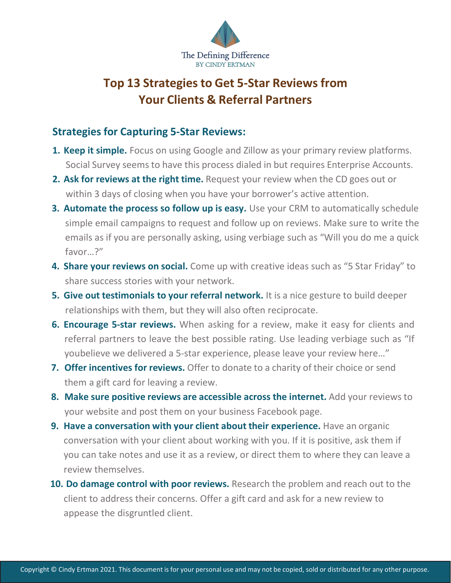

### **Strategies for Capturing 5-Star Reviews:**

- **1. Keep it simple.** Focus on using Google and Zillow as your primary review platforms. Social Survey seems to have this process dialed in but requires Enterprise Accounts.
- **2. Ask for reviews at the right time.** Request your review when the CD goes out or within 3 days of closing when you have your borrower's active attention.
- **3. Automate the process so follow up is easy.** Use your CRM to automatically schedule simple email campaigns to request and follow up on reviews. Make sure to write the emails as if you are personally asking, using verbiage such as "Will you do me a quick favor…?"
- **4. Share your reviews on social.** Come up with creative ideas such as "5 Star Friday" to share success stories with your network.
- **5. Give out testimonials to your referral network.** It is a nice gesture to build deeper relationships with them, but they will also often reciprocate.
- **6. Encourage 5-star reviews.** When asking for a review, make it easy for clients and referral partners to leave the best possible rating. Use leading verbiage such as "If youbelieve we delivered a 5-star experience, please leave your review here…"
- **7. Offer incentives for reviews.** Offer to donate to a charity of their choice or send them a gift card for leaving a review.
- **8. Make sure positive reviews are accessible across the internet.** Add your reviews to your website and post them on your business Facebook page.
- **9. Have a conversation with your client about their experience.** Have an organic conversation with your client about working with you. If it is positive, ask them if you can take notes and use it as a review, or direct them to where they can leave a review themselves.
- **10. Do damage control with poor reviews.** Research the problem and reach out to the client to address their concerns. Offer a gift card and ask for a new review to appease the disgruntled client.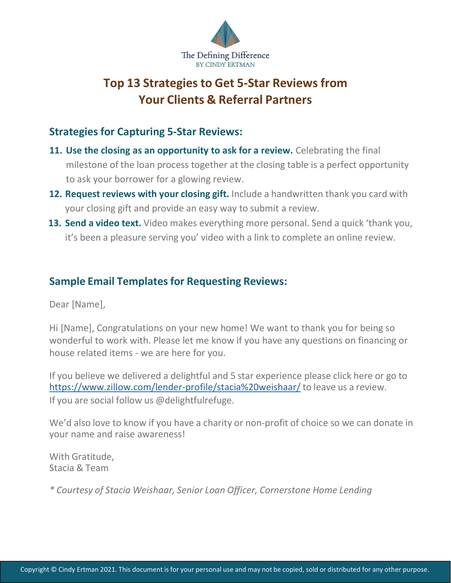

## **Strategies for Capturing 5-Star Reviews:**

- **11. Use the closing as an opportunity to ask for a review.** Celebrating the final milestone of the loan process together at the closing table is a perfect opportunity to ask your borrower for a glowing review.
- **12. Request reviews with your closing gift.** Include a handwritten thank you card with your closing gift and provide an easy way to submit a review.
- **13. Send a video text.** Video makes everything more personal. Send a quick 'thank you, it's been a pleasure serving you' video with a link to complete an online review.

## **Sample Email Templatesfor Requesting Reviews:**

Dear [Name],

Hi [Name], Congratulations on your new home! We want to thank you for being so wonderful to work with. Please let me know if you have any questions on financing or house related items - we are here for you.

If you believe we delivered a delightful and 5 star experience please click here or go to htt[ps://ww](http://www.zillow.com/lender-profile/stacia%20weishaar/)w[.zillow.com/lender-profile/stacia%20weishaar/](http://www.zillow.com/lender-profile/stacia%20weishaar/) to leave us a review. If you are social follow us @delightfulrefuge.

We'd also love to know if you have a charity or non-profit of choice so we can donate in your name and raise awareness!

With Gratitude, Stacia & Team

*\* Courtesy of Stacia Weishaar, Senior Loan Officer, Cornerstone Home Lending*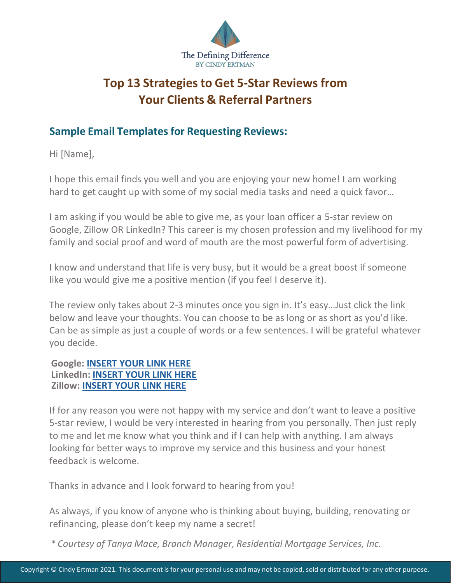

## **Sample Email Templatesfor Requesting Reviews:**

Hi [Name],

I hope this email finds you well and you are enjoying your new home! I am working hard to get caught up with some of my social media tasks and need a quick favor…

I am asking if you would be able to give me, as your loan officer a 5-star review on Google, Zillow OR LinkedIn? This career is my chosen profession and my livelihood for my family and social proof and word of mouth are the most powerful form of advertising.

I know and understand that life is very busy, but it would be a great boost if someone like you would give me a positive mention (if you feel I deserve it).

The review only takes about 2-3 minutes once you sign in. It's easy…Just click the link below and leave your thoughts. You can choose to be as long or as short as you'd like. Can be as simple as just a couple of words or a few sentences. I will be grateful whatever you decide.

#### **Google: INSERT YOUR LINK HERE LinkedIn: INSERT YOUR LINK HERE Zillow: INSERT YOUR LINK HERE**

If for any reason you were not happy with my service and don't want to leave a positive 5-star review, I would be very interested in hearing from you personally. Then just reply to me and let me know what you think and if I can help with anything. I am always looking for better ways to improve my service and this business and your honest feedback is welcome.

Thanks in advance and I look forward to hearing from you!

As always, if you know of anyone who is thinking about buying, building, renovating or refinancing, please don't keep my name a secret!

*\* Courtesy of Tanya Mace, Branch Manager, Residential Mortgage Services, Inc.*